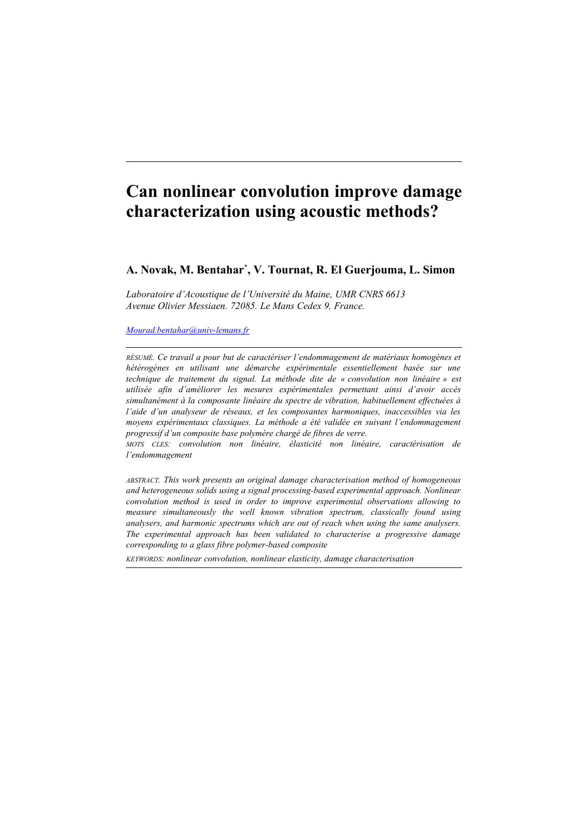# **Can nonlinear convolution improve damage characterization using acoustic methods?**

# **A. Novak, M. Bentahar\* , V. Tournat, R. El Guerjouma, L. Simon**

*Laboratoire d'Acoustique de l'Université du Maine, UMR CNRS 6613 Avenue Olivier Messiaen. 72085. Le Mans Cedex 9, France.*

# *[Mourad.bentahar@univ-lemans.fr](mailto:Mourad.bentahar@univ-lemans.fr)*

*RÉSUMÉ. Ce travail a pour but de caractériser l'endommagement de matériaux homogènes et hétérogènes en utilisant une démarche expérimentale essentiellement basée sur une technique de traitement du signal. La méthode dite de « convolution non linéaire » est utilisée afin d'améliorer les mesures expérimentales permettant ainsi d'avoir accès simultanément à la composante linéaire du spectre de vibration, habituellement effectuées à l'aide d'un analyseur de réseaux, et les composantes harmoniques, inaccessibles via les moyens expérimentaux classiques. La méthode a été validée en suivant l'endommagement progressif d'un composite base polymère chargé de fibres de verre.* 

*MOTS CLES: convolution non linéaire, élasticité non linéaire, caractérisation de l'endommagement*

*ABSTRACT. This work presents an original damage characterisation method of homogeneous and heterogeneous solids using a signal processing-based experimental approach. Nonlinear convolution method is used in order to improve experimental observations allowing to measure simultaneously the well known vibration spectrum, classically found using analysers, and harmonic spectrums which are out of reach when using the same analysers. The experimental approach has been validated to characterise a progressive damage corresponding to a glass fibre polymer-based composite* 

*KEYWORDS: nonlinear convolution, nonlinear elasticity, damage characterisation*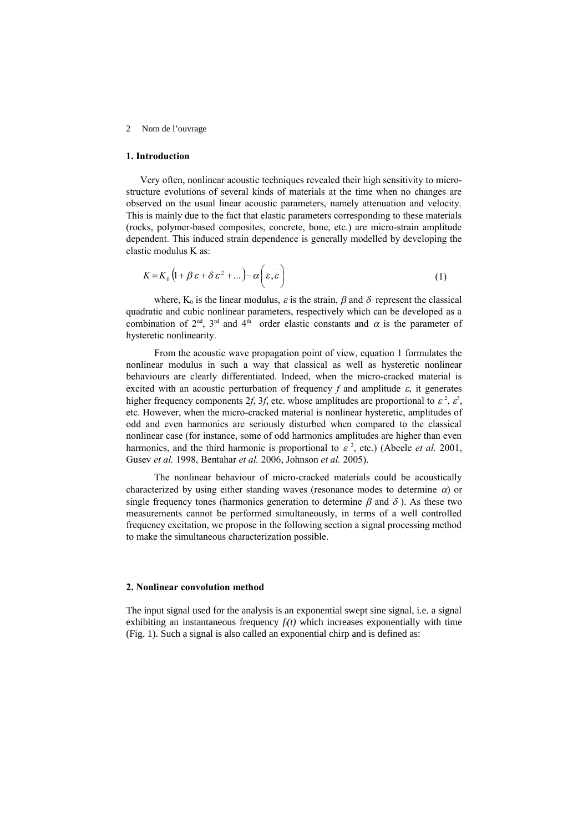#### 2 Nom de l'ouvrage

# **1. Introduction**

Very often, nonlinear acoustic techniques revealed their high sensitivity to microstructure evolutions of several kinds of materials at the time when no changes are observed on the usual linear acoustic parameters, namely attenuation and velocity. This is mainly due to the fact that elastic parameters corresponding to these materials (rocks, polymer-based composites, concrete, bone, etc.) are micro-strain amplitude dependent. This induced strain dependence is generally modelled by developing the elastic modulus K as:

$$
K = K_0 \left( 1 + \beta \varepsilon + \delta \varepsilon^2 + \dots \right) - \alpha \left( \varepsilon, \varepsilon \right) \tag{1}
$$

where,  $K_0$  is the linear modulus,  $\varepsilon$  is the strain,  $\beta$  and  $\delta$  represent the classical quadratic and cubic nonlinear parameters, respectively which can be developed as a combination of  $2<sup>nd</sup>$ ,  $3<sup>rd</sup>$  and  $4<sup>th</sup>$  order elastic constants and  $\alpha$  is the parameter of hysteretic nonlinearity.

From the acoustic wave propagation point of view, equation 1 formulates the nonlinear modulus in such a way that classical as well as hysteretic nonlinear behaviours are clearly differentiated. Indeed, when the micro-cracked material is excited with an acoustic perturbation of frequency  $f$  and amplitude  $\varepsilon$ , it generates higher frequency components 2f, 3f, etc. whose amplitudes are proportional to  $\varepsilon^2$ ,  $\varepsilon^3$ , etc. However, when the micro-cracked material is nonlinear hysteretic, amplitudes of odd and even harmonics are seriously disturbed when compared to the classical nonlinear case (for instance, some of odd harmonics amplitudes are higher than even harmonics, and the third harmonic is proportional to  $\varepsilon^2$ , etc.) (Abeele *et al.* 2001, Gusev *et al.* 1998, Bentahar *et al.* 2006, Johnson *et al.* 2005).

The nonlinear behaviour of micro-cracked materials could be acoustically characterized by using either standing waves (resonance modes to determine  $\alpha$ ) or single frequency tones (harmonics generation to determine  $\beta$  and  $\delta$ ). As these two measurements cannot be performed simultaneously, in terms of a well controlled frequency excitation, we propose in the following section a signal processing method to make the simultaneous characterization possible.

#### **2. Nonlinear convolution method**

The input signal used for the analysis is an exponential swept sine signal, i.e. a signal exhibiting an instantaneous frequency  $f_i(t)$  which increases exponentially with time (Fig. 1). Such a signal is also called an exponential chirp and is defined as: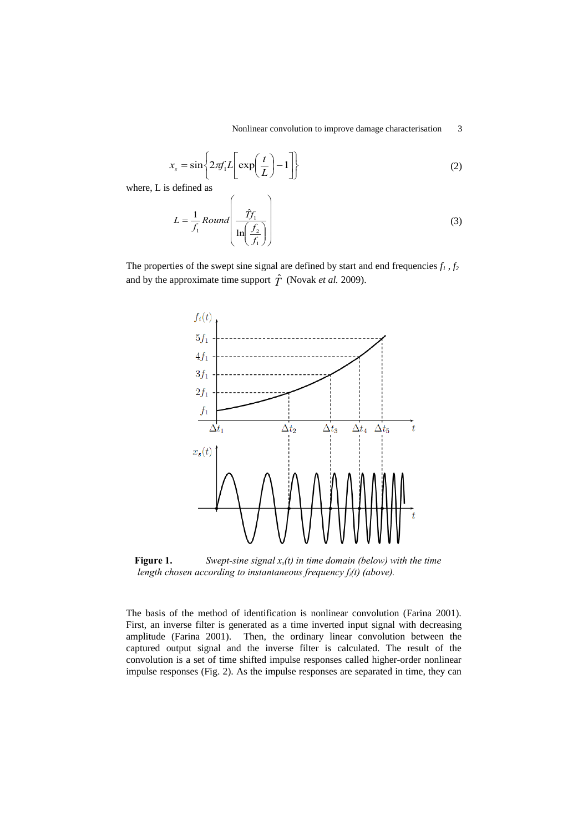$$
x_s = \sin\left\{2\pi f_1 L \left[\exp\left(\frac{t}{L}\right) - 1\right]\right\}
$$
 (2)

where, L is defined as

$$
L = \frac{1}{f_1} \text{Round}\left(\frac{\hat{T}f_1}{\ln\left(\frac{f_2}{f_1}\right)}\right) \tag{3}
$$

The properties of the swept sine signal are defined by start and end frequencies  $f_1$  ,  $f_2$ and by the approximate time support  $\hat{T}$  (Novak *et al.* 2009).



**Figure 1.** *Swept-sine signal xs(t) in time domain (below) with the time length chosen according to instantaneous frequency fi(t) (above).*

The basis of the method of identification is nonlinear convolution (Farina 2001). First, an inverse filter is generated as a time inverted input signal with decreasing amplitude (Farina 2001). Then, the ordinary linear convolution between the captured output signal and the inverse filter is calculated. The result of the convolution is a set of time shifted impulse responses called higher-order nonlinear impulse responses (Fig. 2). As the impulse responses are separated in time, they can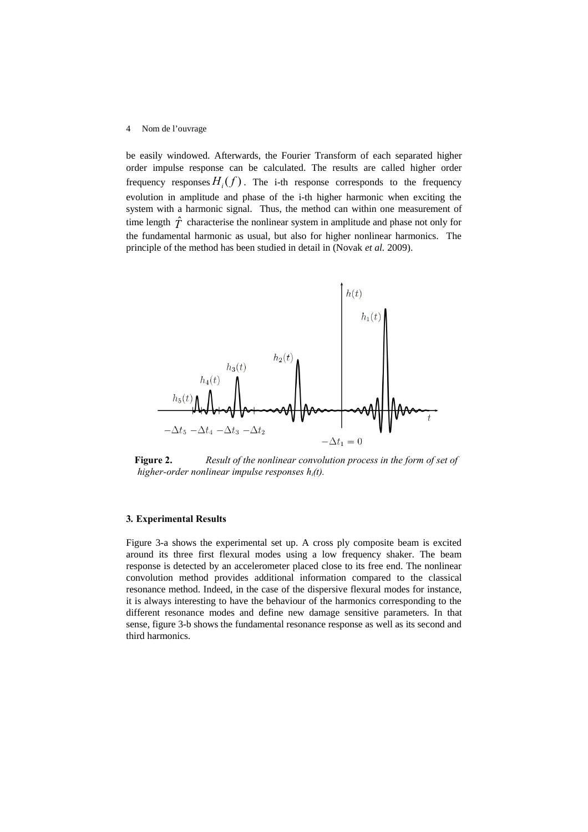#### 4 Nom de l'ouvrage

be easily windowed. Afterwards, the Fourier Transform of each separated higher order impulse response can be calculated. The results are called higher order frequency responses  $H_i(f)$ . The i-th response corresponds to the frequency evolution in amplitude and phase of the i-th higher harmonic when exciting the system with a harmonic signal. Thus, the method can within one measurement of time length  $\hat{T}$  characterise the nonlinear system in amplitude and phase not only for the fundamental harmonic as usual, but also for higher nonlinear harmonics. The principle of the method has been studied in detail in (Novak *et al.* 2009).



**Figure 2.** *Result of the nonlinear convolution process in the form of set of higher-order nonlinear impulse responses hi(t).*

#### **3***.* **Experimental Results**

Figure 3-a shows the experimental set up. A cross ply composite beam is excited around its three first flexural modes using a low frequency shaker. The beam response is detected by an accelerometer placed close to its free end. The nonlinear convolution method provides additional information compared to the classical resonance method. Indeed, in the case of the dispersive flexural modes for instance, it is always interesting to have the behaviour of the harmonics corresponding to the different resonance modes and define new damage sensitive parameters. In that sense, figure 3-b shows the fundamental resonance response as well as its second and third harmonics.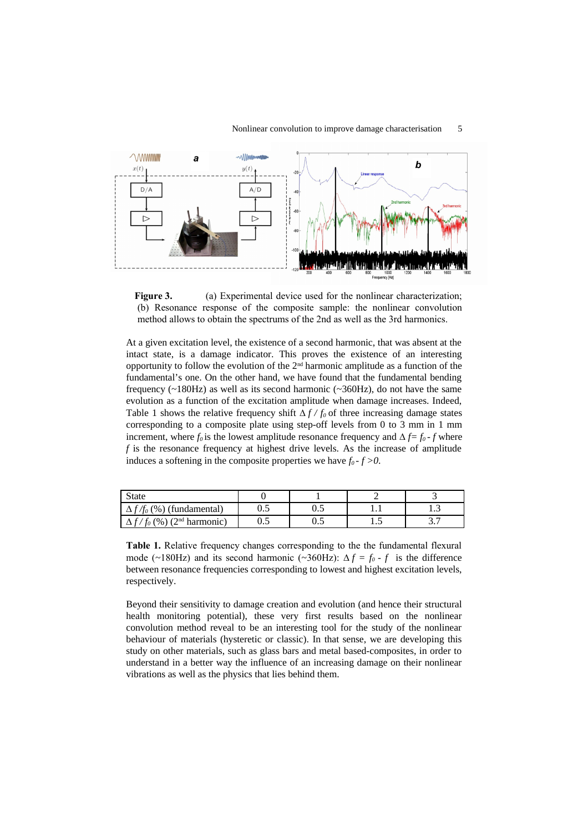

**Figure 3.** (a) Experimental device used for the nonlinear characterization; (b) Resonance response of the composite sample: the nonlinear convolution method allows to obtain the spectrums of the 2nd as well as the 3rd harmonics.

At a given excitation level, the existence of a second harmonic, that was absent at the intact state, is a damage indicator. This proves the existence of an interesting opportunity to follow the evolution of the  $2<sup>nd</sup>$  harmonic amplitude as a function of the fundamental's one. On the other hand, we have found that the fundamental bending frequency (~180Hz) as well as its second harmonic (~360Hz), do not have the same evolution as a function of the excitation amplitude when damage increases. Indeed, Table 1 shows the relative frequency shift  $\Delta f / f_0$  of three increasing damage states corresponding to a composite plate using step-off levels from 0 to 3 mm in 1 mm increment, where  $f_0$  is the lowest amplitude resonance frequency and  $\Delta f = f_0 - f$  where *f* is the resonance frequency at highest drive levels. As the increase of amplitude induces a softening in the composite properties we have  $f_0$  -  $f > 0$ .

| <b>State</b>                            |     |    |   |       |
|-----------------------------------------|-----|----|---|-------|
| (%) (fundamental)<br>$\mathscr{H}_0$    | ∪.J | ∪⊷ | . | 1.J   |
| $(\%)$ (2 <sup>nd</sup> harmonic)<br>Ť0 | ∪.J | ∪⊷ | پ | . . ا |

**Table 1.** Relative frequency changes corresponding to the the fundamental flexural mode (~180Hz) and its second harmonic (~360Hz):  $\Delta f = f_0 - f$  is the difference between resonance frequencies corresponding to lowest and highest excitation levels, respectively.

Beyond their sensitivity to damage creation and evolution (and hence their structural health monitoring potential), these very first results based on the nonlinear convolution method reveal to be an interesting tool for the study of the nonlinear behaviour of materials (hysteretic or classic). In that sense, we are developing this study on other materials, such as glass bars and metal based-composites, in order to understand in a better way the influence of an increasing damage on their nonlinear vibrations as well as the physics that lies behind them.